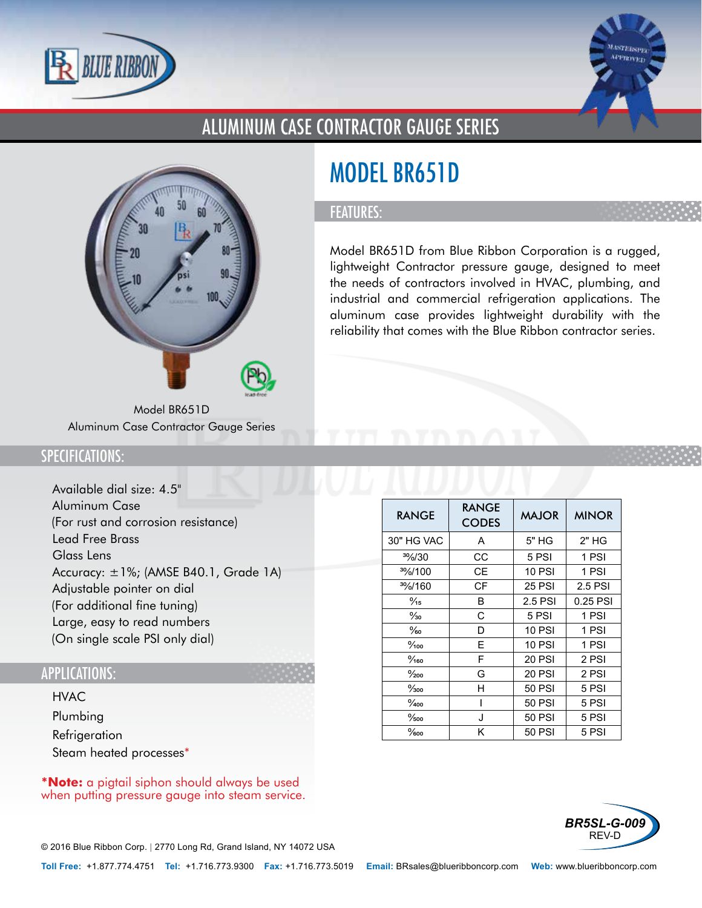



### ALUMINUM CASE CONTRACTOR GAUGE SERIES



Model BR651D Aluminum Case Contractor Gauge Series

# MODEL BR651D

#### FEATURES:

Model BR651D from Blue Ribbon Corporation is a rugged, lightweight Contractor pressure gauge, designed to meet the needs of contractors involved in HVAC, plumbing, and industrial and commercial refrigeration applications. The aluminum case provides lightweight durability with the reliability that comes with the Blue Ribbon contractor series.

#### SPECIFICATIONS:

- Available dial size: 4.5"
- Aluminum Case (For rust and corrosion resistance)
- Lead Free Brass
- Glass Lens
- Accuracy: ±1%; (AMSE B40.1, Grade 1A)
- Adjustable pointer on dial (For additional fine tuning)
- Large, easy to read numbers (On single scale PSI only dial)

#### APPLICATIONS:

- HVAC
- Plumbing
- Refrigeration
- Steam heated processes\*

**\*Note:** a pigtail siphon should always be used when putting pressure gauge into steam service.

| <b>RANGE</b>       | <b>RANGE</b><br><b>CODES</b> | <b>MAJOR</b>  | <b>MINOR</b> |
|--------------------|------------------------------|---------------|--------------|
| 30" HG VAC         | A                            | 5" HG         | $2"$ HG      |
| $\frac{30}{6}$ /30 | CС                           | 5 PSI         | 1 PSI        |
| $\frac{30}{100}$   | CЕ                           | <b>10 PSI</b> | 1 PSI        |
| 3%/160             | СF                           | <b>25 PSI</b> | 2.5 PSI      |
| $\frac{9}{15}$     | В                            | 2.5 PSI       | 0.25 PSI     |
| $\frac{9}{30}$     | C                            | 5 PSI         | 1 PSI        |
| $\%$ o             | D                            | <b>10 PSI</b> | 1 PSI        |
| $\frac{9}{100}$    | Е                            | <b>10 PSI</b> | 1 PSI        |
| $\frac{9}{160}$    | F                            | 20 PSI        | 2 PSI        |
| $\frac{0}{200}$    | G                            | 20 PSI        | 2 PSI        |
| $\frac{9}{300}$    | н                            | <b>50 PSI</b> | 5 PSI        |
| $\frac{9}{400}$    |                              | <b>50 PSI</b> | 5 PSI        |
| $\frac{9}{500}$    | J                            | <b>50 PSI</b> | 5 PSI        |
| $\%$ oo            | Κ                            | 50 PSI        | 5 PSI        |



© 2016 Blue Ribbon Corp. *<sup>|</sup>* 2770 Long Rd, Grand Island, NY 14072 USA